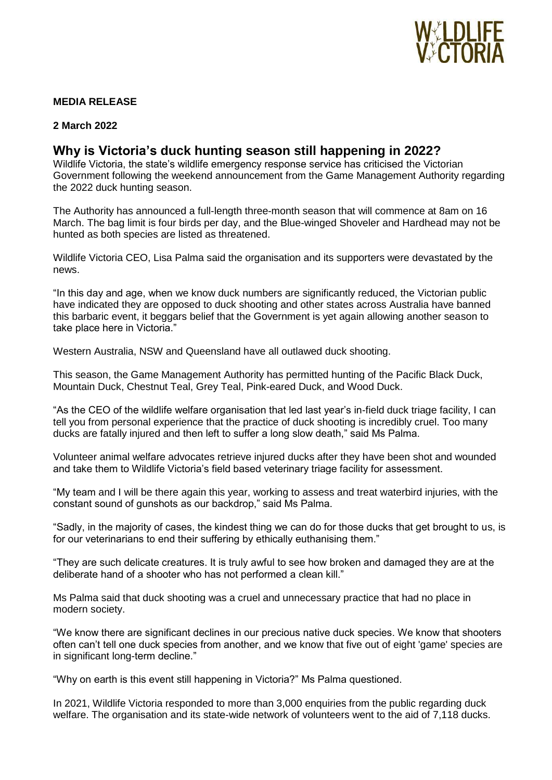

# **MEDIA RELEASE**

**2 March 2022**

# **Why is Victoria's duck hunting season still happening in 2022?**

Wildlife Victoria, the state's wildlife emergency response service has criticised the Victorian Government following the weekend announcement from the Game Management Authority regarding the 2022 duck hunting season.

The Authority has announced a full-length three-month season that will commence at 8am on 16 March. The bag limit is four birds per day, and the Blue-winged Shoveler and Hardhead may not be hunted as both species are listed as threatened.

Wildlife Victoria CEO, Lisa Palma said the organisation and its supporters were devastated by the news.

"In this day and age, when we know duck numbers are significantly reduced, the Victorian public have indicated they are opposed to duck shooting and other states across Australia have banned this barbaric event, it beggars belief that the Government is yet again allowing another season to take place here in Victoria."

Western Australia, NSW and Queensland have all outlawed duck shooting.

This season, the Game Management Authority has permitted hunting of the Pacific Black Duck, Mountain Duck, Chestnut Teal, Grey Teal, Pink-eared Duck, and Wood Duck.

"As the CEO of the wildlife welfare organisation that led last year's in-field duck triage facility, I can tell you from personal experience that the practice of duck shooting is incredibly cruel. Too many ducks are fatally injured and then left to suffer a long slow death," said Ms Palma.

Volunteer animal welfare advocates retrieve injured ducks after they have been shot and wounded and take them to Wildlife Victoria's field based veterinary triage facility for assessment.

"My team and I will be there again this year, working to assess and treat waterbird injuries, with the constant sound of gunshots as our backdrop," said Ms Palma.

"Sadly, in the majority of cases, the kindest thing we can do for those ducks that get brought to us, is for our veterinarians to end their suffering by ethically euthanising them."

"They are such delicate creatures. It is truly awful to see how broken and damaged they are at the deliberate hand of a shooter who has not performed a clean kill."

Ms Palma said that duck shooting was a cruel and unnecessary practice that had no place in modern society.

"We know there are significant declines in our precious native duck species. We know that shooters often can't tell one duck species from another, and we know that five out of eight 'game' species are in significant long-term decline."

"Why on earth is this event still happening in Victoria?" Ms Palma questioned.

In 2021, Wildlife Victoria responded to more than 3,000 enquiries from the public regarding duck welfare. The organisation and its state-wide network of volunteers went to the aid of 7,118 ducks.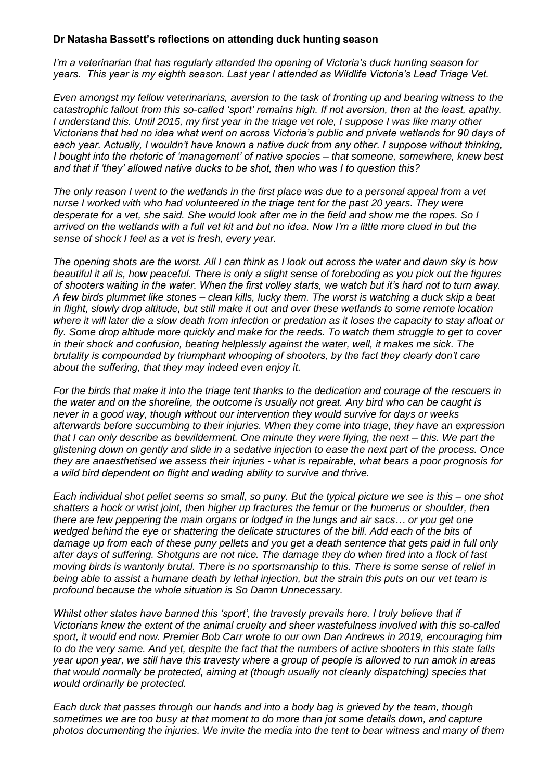#### **Dr Natasha Bassett's reflections on attending duck hunting season**

*I'm a veterinarian that has regularly attended the opening of Victoria's duck hunting season for years. This year is my eighth season. Last year I attended as Wildlife Victoria's Lead Triage Vet.* 

*Even amongst my fellow veterinarians, aversion to the task of fronting up and bearing witness to the catastrophic fallout from this so-called 'sport' remains high. If not aversion, then at the least, apathy. I understand this. Until 2015, my first year in the triage vet role, I suppose I was like many other Victorians that had no idea what went on across Victoria's public and private wetlands for 90 days of*  each year. Actually, I wouldn't have known a native duck from any other. I suppose without thinking, *I bought into the rhetoric of 'management' of native species – that someone, somewhere, knew best and that if 'they' allowed native ducks to be shot, then who was I to question this?*

*The only reason I went to the wetlands in the first place was due to a personal appeal from a vet nurse I worked with who had volunteered in the triage tent for the past 20 years. They were desperate for a vet, she said. She would look after me in the field and show me the ropes. So I arrived on the wetlands with a full vet kit and but no idea. Now I'm a little more clued in but the sense of shock I feel as a vet is fresh, every year.*

*The opening shots are the worst. All I can think as I look out across the water and dawn sky is how beautiful it all is, how peaceful. There is only a slight sense of foreboding as you pick out the figures of shooters waiting in the water. When the first volley starts, we watch but it's hard not to turn away. A few birds plummet like stones – clean kills, lucky them. The worst is watching a duck skip a beat in flight, slowly drop altitude, but still make it out and over these wetlands to some remote location where it will later die a slow death from infection or predation as it loses the capacity to stay afloat or fly. Some drop altitude more quickly and make for the reeds. To watch them struggle to get to cover in their shock and confusion, beating helplessly against the water, well, it makes me sick. The brutality is compounded by triumphant whooping of shooters, by the fact they clearly don't care about the suffering, that they may indeed even enjoy it.* 

*For the birds that make it into the triage tent thanks to the dedication and courage of the rescuers in the water and on the shoreline, the outcome is usually not great. Any bird who can be caught is never in a good way, though without our intervention they would survive for days or weeks afterwards before succumbing to their injuries. When they come into triage, they have an expression that I can only describe as bewilderment. One minute they were flying, the next – this. We part the glistening down on gently and slide in a sedative injection to ease the next part of the process. Once they are anaesthetised we assess their injuries - what is repairable, what bears a poor prognosis for a wild bird dependent on flight and wading ability to survive and thrive.* 

*Each individual shot pellet seems so small, so puny. But the typical picture we see is this – one shot shatters a hock or wrist joint, then higher up fractures the femur or the humerus or shoulder, then there are few peppering the main organs or lodged in the lungs and air sacs… or you get one wedged behind the eye or shattering the delicate structures of the bill. Add each of the bits of damage up from each of these puny pellets and you get a death sentence that gets paid in full only after days of suffering. Shotguns are not nice. The damage they do when fired into a flock of fast moving birds is wantonly brutal. There is no sportsmanship to this. There is some sense of relief in being able to assist a humane death by lethal injection, but the strain this puts on our vet team is profound because the whole situation is So Damn Unnecessary.* 

*Whilst other states have banned this 'sport', the travesty prevails here. I truly believe that if Victorians knew the extent of the animal cruelty and sheer wastefulness involved with this so-called sport, it would end now. Premier Bob Carr wrote to our own Dan Andrews in 2019, encouraging him to do the very same. And yet, despite the fact that the numbers of active shooters in this state falls year upon year, we still have this travesty where a group of people is allowed to run amok in areas that would normally be protected, aiming at (though usually not cleanly dispatching) species that would ordinarily be protected.* 

*Each duck that passes through our hands and into a body bag is grieved by the team, though sometimes we are too busy at that moment to do more than jot some details down, and capture photos documenting the injuries. We invite the media into the tent to bear witness and many of them*